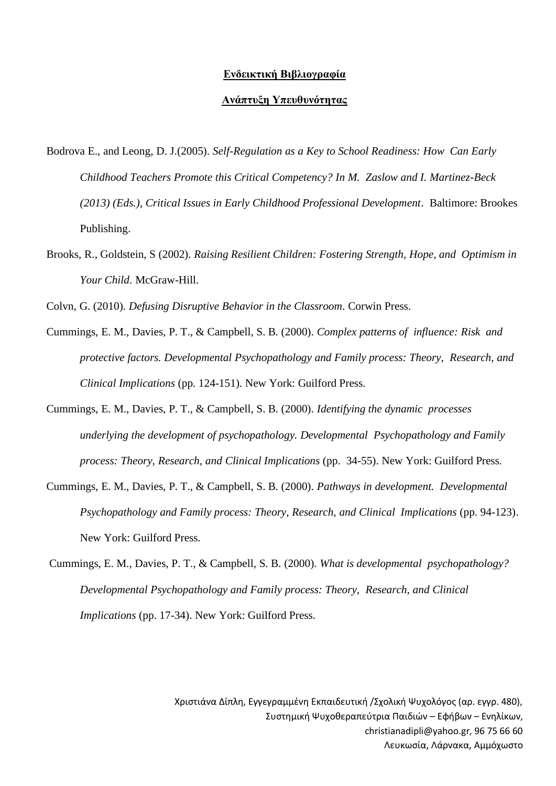## **Ενδεικτική Βιβλιογραφία**

## **Ανάπτυξη Υπευθυνότητας**

- Bodrova E., and Leong, D. J.(2005). *Self-Regulation as a Key to School Readiness: How Can Early Childhood Teachers Promote this Critical Competency? In M. Zaslow and I. Martinez-Beck (2013) (Eds.), Critical Issues in Early Childhood Professional Development*. Baltimore: Brookes Publishing.
- Brooks, R., Goldstein, S (2002). *Raising Resilient Children: Fostering Strength, Hope, and Optimism in Your Child*. McGraw-Hill.

Colvn, G. (2010). *Defusing Disruptive Behavior in the Classroom*. Corwin Press.

- Cummings, E. M., Davies, P. T., & Campbell, S. B. (2000). *Complex patterns of influence: Risk and protective factors. Developmental Psychopathology and Family process: Theory, Research, and Clinical Implications* (pp. 124-151). New York: Guilford Press.
- Cummings, E. M., Davies, P. T., & Campbell, S. B. (2000). *Identifying the dynamic processes underlying the development of psychopathology. Developmental Psychopathology and Family process: Theory, Research, and Clinical Implications* (pp. 34-55). New York: Guilford Press.
- Cummings, E. M., Davies, P. T., & Campbell, S. B. (2000). *Pathways in development. Developmental Psychopathology and Family process: Theory, Research, and Clinical Implications* (pp. 94-123). New York: Guilford Press.
- Cummings, E. M., Davies, P. T., & Campbell, S. B. (2000). *What is developmental psychopathology? Developmental Psychopathology and Family process: Theory, Research, and Clinical Implications* (pp. 17-34). New York: Guilford Press.

Χριστιάνα Δίπλη, Εγγεγραμμένη Εκπαιδευτική /Σχολική Ψυχολόγος (αρ. εγγρ. 480), Συστημική Ψυχοθεραπεύτρια Παιδιών – Εφήβων – Ενηλίκων, christianadipli@yahoo.gr, 96 75 66 60 Λευκωσία, Λάρνακα, Αμμόχωστο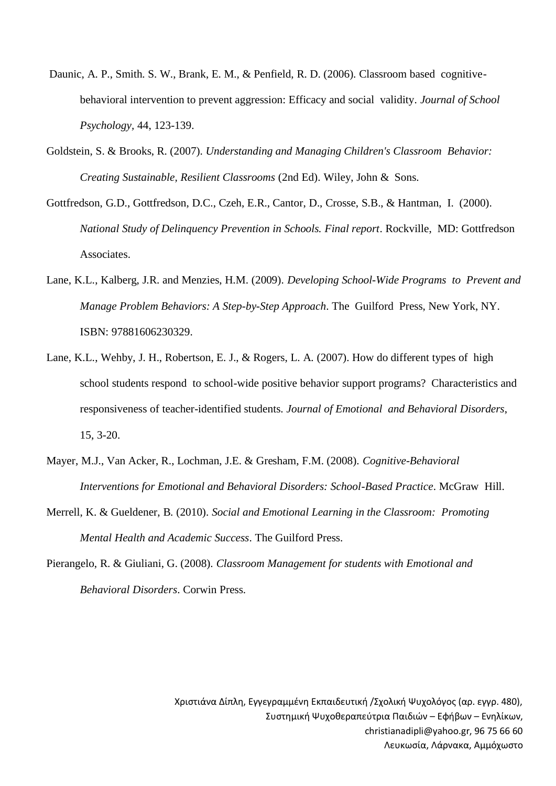- Daunic, A. P., Smith. S. W., Brank, E. M., & Penfield, R. D. (2006). Classroom based cognitivebehavioral intervention to prevent aggression: Efficacy and social validity. *Journal of School Psychology,* 44, 123-139.
- Goldstein, S. & Brooks, R. (2007). *Understanding and Managing Children's Classroom Behavior: Creating Sustainable, Resilient Classrooms* (2nd Ed). Wiley, John & Sons.
- Gottfredson, G.D., Gottfredson, D.C., Czeh, E.R., Cantor, D., Crosse, S.B., & Hantman, I. (2000). *National Study of Delinquency Prevention in Schools. Final report*. Rockville, MD: Gottfredson Associates.
- Lane, K.L., Kalberg, J.R. and Menzies, H.M. (2009). *Developing School-Wide Programs to Prevent and Manage Problem Behaviors: A Step-by-Step Approach*. The Guilford Press, New York, NY. ISBN: 97881606230329.
- Lane, K.L., Wehby, J. H., Robertson, E. J., & Rogers, L. A. (2007). How do different types of high school students respond to school-wide positive behavior support programs? Characteristics and responsiveness of teacher-identified students. *Journal of Emotional and Behavioral Disorders*, 15, 3-20.
- Mayer, M.J., Van Acker, R., Lochman, J.E. & Gresham, F.M. (2008). *Cognitive-Behavioral Interventions for Emotional and Behavioral Disorders: School-Based Practice*. McGraw Hill.
- Merrell, K. & Gueldener, B. (2010). *Social and Emotional Learning in the Classroom: Promoting Mental Health and Academic Success*. The Guilford Press.
- Pierangelo, R. & Giuliani, G. (2008). *Classroom Management for students with Emotional and Behavioral Disorders*. Corwin Press.

Χριστιάνα Δίπλη, Εγγεγραμμένη Εκπαιδευτική /Σχολική Ψυχολόγος (αρ. εγγρ. 480), Συστημική Ψυχοθεραπεύτρια Παιδιών – Εφήβων – Ενηλίκων, christianadipli@yahoo.gr, 96 75 66 60 Λευκωσία, Λάρνακα, Αμμόχωστο